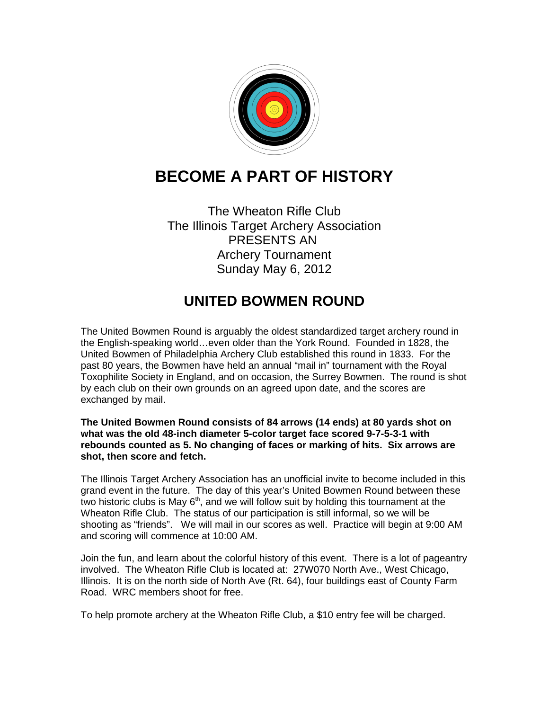

## **BECOME A PART OF HISTORY**

The Wheaton Rifle Club The Illinois Target Archery Association PRESENTS AN Archery Tournament Sunday May 6, 2012

## **UNITED BOWMEN ROUND**

The United Bowmen Round is arguably the oldest standardized target archery round in the English-speaking world…even older than the York Round. Founded in 1828, the United Bowmen of Philadelphia Archery Club established this round in 1833. For the past 80 years, the Bowmen have held an annual "mail in" tournament with the Royal Toxophilite Society in England, and on occasion, the Surrey Bowmen. The round is shot by each club on their own grounds on an agreed upon date, and the scores are exchanged by mail.

**The United Bowmen Round consists of 84 arrows (14 ends) at 80 yards shot on what was the old 48-inch diameter 5-color target face scored 9-7-5-3-1 with rebounds counted as 5. No changing of faces or marking of hits. Six arrows are shot, then score and fetch.**

The Illinois Target Archery Association has an unofficial invite to become included in this grand event in the future. The day of this year's United Bowmen Round between these two historic clubs is May  $6<sup>th</sup>$ , and we will follow suit by holding this tournament at the Wheaton Rifle Club. The status of our participation is still informal, so we will be shooting as "friends". We will mail in our scores as well. Practice will begin at 9:00 AM and scoring will commence at 10:00 AM.

Join the fun, and learn about the colorful history of this event. There is a lot of pageantry involved. The Wheaton Rifle Club is located at: 27W070 North Ave., West Chicago, Illinois. It is on the north side of North Ave (Rt. 64), four buildings east of County Farm Road. WRC members shoot for free.

To help promote archery at the Wheaton Rifle Club, a \$10 entry fee will be charged.